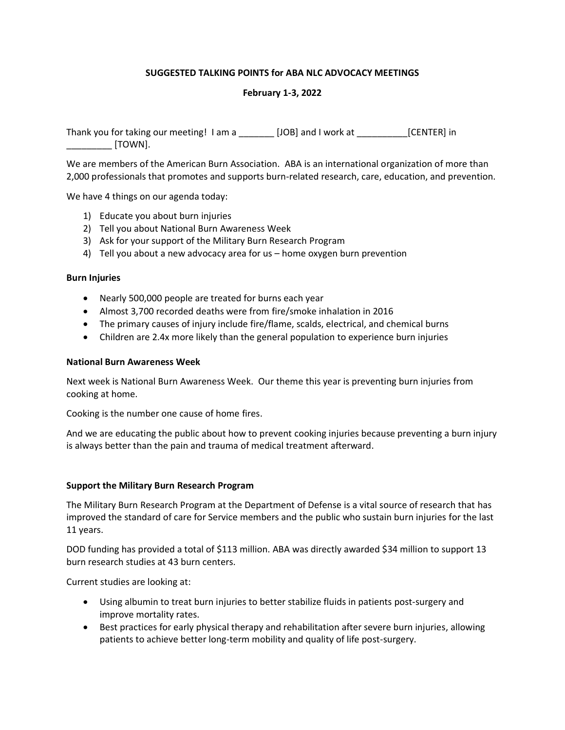# **SUGGESTED TALKING POINTS for ABA NLC ADVOCACY MEETINGS**

# **February 1-3, 2022**

Thank you for taking our meeting! I am a \_\_\_\_\_\_\_ [JOB] and I work at \_\_\_\_\_\_\_\_\_\_[CENTER] in  $[TOWN]$ .

We are members of the American Burn Association. ABA is an international organization of more than 2,000 professionals that promotes and supports burn-related research, care, education, and prevention.

We have 4 things on our agenda today:

- 1) Educate you about burn injuries
- 2) Tell you about National Burn Awareness Week
- 3) Ask for your support of the Military Burn Research Program
- 4) Tell you about a new advocacy area for us home oxygen burn prevention

#### **Burn Injuries**

- Nearly 500,000 people are treated for burns each year
- Almost 3,700 recorded deaths were from fire/smoke inhalation in 2016
- The primary causes of injury include fire/flame, scalds, electrical, and chemical burns
- Children are 2.4x more likely than the general population to experience burn injuries

#### **National Burn Awareness Week**

Next week is National Burn Awareness Week. Our theme this year is preventing burn injuries from cooking at home.

Cooking is the number one cause of home fires.

And we are educating the public about how to prevent cooking injuries because preventing a burn injury is always better than the pain and trauma of medical treatment afterward.

#### **Support the Military Burn Research Program**

The Military Burn Research Program at the Department of Defense is a vital source of research that has improved the standard of care for Service members and the public who sustain burn injuries for the last 11 years.

DOD funding has provided a total of \$113 million. ABA was directly awarded \$34 million to support 13 burn research studies at 43 burn centers.

Current studies are looking at:

- Using albumin to treat burn injuries to better stabilize fluids in patients post-surgery and improve mortality rates.
- Best practices for early physical therapy and rehabilitation after severe burn injuries, allowing patients to achieve better long-term mobility and quality of life post-surgery.